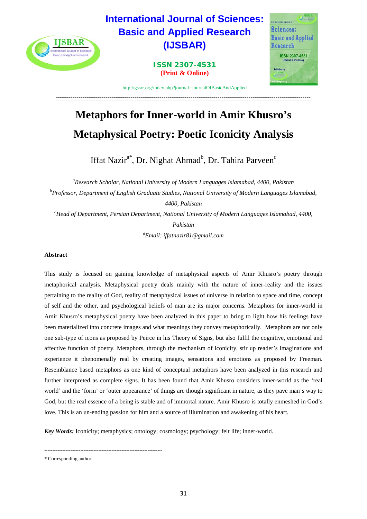

# **Metaphors for Inner-world in Amir Khusro's Metaphysical Poetry: Poetic Iconicity Analysis**

Iffat Nazir<sup>a\*</sup>, Dr. Nighat Ahmad<sup>b</sup>, Dr. Tahira Parveen<sup>c</sup>

*a Research Scholar, National University of Modern Languages Islamabad, 4400, Pakistan b Professor, Department of English Graduate Studies, National University of Modern Languages Islamabad, 4400, Pakistan c Head of Department, Persian Department, National University of Modern Languages Islamabad, 4400, Pakistan*

*a Email: iffatnazir81@gmail.com* 

# **Abstract**

This study is focused on gaining knowledge of metaphysical aspects of Amir Khusro's poetry through metaphorical analysis. Metaphysical poetry deals mainly with the nature of inner-reality and the issues pertaining to the reality of God, reality of metaphysical issues of universe in relation to space and time, concept of self and the other, and psychological beliefs of man are its major concerns. Metaphors for inner-world in Amir Khusro's metaphysical poetry have been analyzed in this paper to bring to light how his feelings have been materialized into concrete images and what meanings they convey metaphorically. Metaphors are not only one sub-type of icons as proposed by Peirce in his Theory of Signs, but also fulfil the cognitive, emotional and affective function of poetry. Metaphors, through the mechanism of iconicity, stir up reader's imaginations and experience it phenomenally real by creating images, sensations and emotions as proposed by Freeman. Resemblance based metaphors as one kind of conceptual metaphors have been analyzed in this research and further interpreted as complete signs. It has been found that Amir Khusro considers inner-world as the 'real world' and the 'form' or 'outer appearance' of things are though significant in nature, as they pave man's way to God, but the real essence of a being is stable and of immortal nature. Amir Khusro is totally enmeshed in God's love. This is an un-ending passion for him and a source of illumination and awakening of his heart.

*Key Words:* Iconicity; metaphysics; ontology; cosmology; psychology; felt life; inner-world.

------------------------------------------------------------------------

<sup>\*</sup> Corresponding author.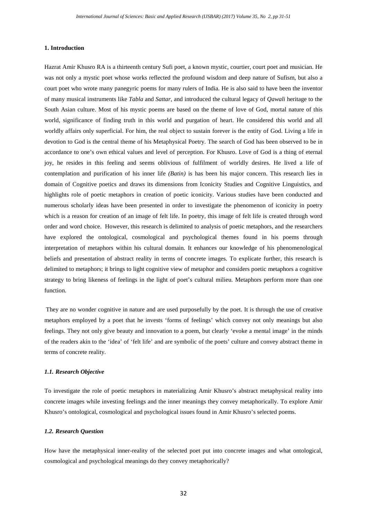## **1. Introduction**

Hazrat Amir Khusro RA is a thirteenth century Sufi poet, a known mystic, courtier, court poet and musician. He was not only a mystic poet whose works reflected the profound wisdom and deep nature of Sufism, but also a court poet who wrote many panegyric poems for many rulers of India. He is also said to have been the inventor of many musical instruments like *Tabla* and *Sattar*, and introduced the cultural legacy of *Qawali* heritage to the South Asian culture. Most of his mystic poems are based on the theme of love of God, mortal nature of this world, significance of finding truth in this world and purgation of heart. He considered this world and all worldly affairs only superficial. For him, the real object to sustain forever is the entity of God. Living a life in devotion to God is the central theme of his Metaphysical Poetry. The search of God has been observed to be in accordance to one's own ethical values and level of perception. For Khusro. Love of God is a thing of eternal joy, he resides in this feeling and seems oblivious of fulfilment of worldly desires. He lived a life of contemplation and purification of his inner life *(Batin)* is has been his major concern. This research lies in domain of Cognitive poetics and draws its dimensions from Iconicity Studies and Cognitive Linguistics, and highlights role of poetic metaphors in creation of poetic iconicity. Various studies have been conducted and numerous scholarly ideas have been presented in order to investigate the phenomenon of iconicity in poetry which is a reason for creation of an image of felt life. In poetry, this image of felt life is created through word order and word choice. However, this research is delimited to analysis of poetic metaphors, and the researchers have explored the ontological, cosmological and psychological themes found in his poems through interpretation of metaphors within his cultural domain. It enhances our knowledge of his phenomenological beliefs and presentation of abstract reality in terms of concrete images. To explicate further, this research is delimited to metaphors; it brings to light cognitive view of metaphor and considers poetic metaphors a cognitive strategy to bring likeness of feelings in the light of poet's cultural milieu. Metaphors perform more than one function.

They are no wonder cognitive in nature and are used purposefully by the poet. It is through the use of creative metaphors employed by a poet that he invests 'forms of feelings' which convey not only meanings but also feelings. They not only give beauty and innovation to a poem, but clearly 'evoke a mental image' in the minds of the readers akin to the 'idea' of 'felt life' and are symbolic of the poets' culture and convey abstract theme in terms of concrete reality.

## *1.1. Research Objective*

To investigate the role of poetic metaphors in materializing Amir Khusro's abstract metaphysical reality into concrete images while investing feelings and the inner meanings they convey metaphorically. To explore Amir Khusro's ontological, cosmological and psychological issues found in Amir Khusro's selected poems.

## *1.2. Research Question*

How have the metaphysical inner-reality of the selected poet put into concrete images and what ontological, cosmological and psychological meanings do they convey metaphorically?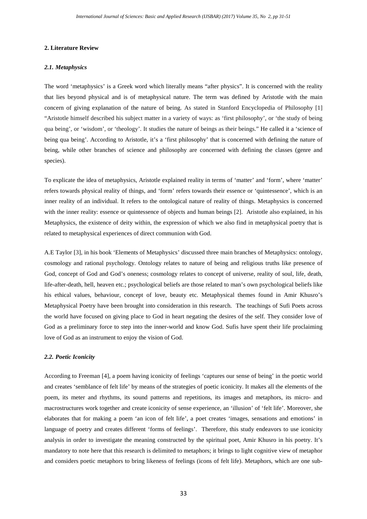#### **2. Literature Review**

#### *2.1. Metaphysics*

The word 'metaphysics' is a Greek word which literally means "after physics". It is concerned with the reality that lies beyond physical and is of metaphysical nature. The term was defined by Aristotle with the main concern of giving explanation of the nature of being. As stated in Stanford Encyclopedia of Philosophy [1] "Aristotle himself described his subject matter in a variety of ways: as 'first philosophy', or 'the study of being qua being', or 'wisdom', or 'theology'. It studies the nature of beings as their beings." He called it a 'science of being qua being'. According to Aristotle, it's a 'first philosophy' that is concerned with defining the nature of being, while other branches of science and philosophy are concerned with defining the classes (genre and species).

To explicate the idea of metaphysics, Aristotle explained reality in terms of 'matter' and 'form', where 'matter' refers towards physical reality of things, and 'form' refers towards their essence or 'quintessence', which is an inner reality of an individual. It refers to the ontological nature of reality of things. Metaphysics is concerned with the inner reality: essence or quintessence of objects and human beings [2]. Aristotle also explained, in his Metaphysics, the existence of deity within, the expression of which we also find in metaphysical poetry that is related to metaphysical experiences of direct communion with God.

A.E Taylor [3], in his book 'Elements of Metaphysics' discussed three main branches of Metaphysics: ontology, cosmology and rational psychology. Ontology relates to nature of being and religious truths like presence of God, concept of God and God's oneness; cosmology relates to concept of universe, reality of soul, life, death, life-after-death, hell, heaven etc.; psychological beliefs are those related to man's own psychological beliefs like his ethical values, behaviour, concept of love, beauty etc. Metaphysical themes found in Amir Khusro's Metaphysical Poetry have been brought into consideration in this research. The teachings of Sufi Poets across the world have focused on giving place to God in heart negating the desires of the self. They consider love of God as a preliminary force to step into the inner-world and know God. Sufis have spent their life proclaiming love of God as an instrument to enjoy the vision of God.

#### *2.2. Poetic Iconicity*

According to Freeman [4], a poem having iconicity of feelings 'captures our sense of being' in the poetic world and creates 'semblance of felt life' by means of the strategies of poetic iconicity. It makes all the elements of the poem, its meter and rhythms, its sound patterns and repetitions, its images and metaphors, its micro- and macrostructures work together and create iconicity of sense experience, an 'illusion' of 'felt life'. Moreover, she elaborates that for making a poem 'an icon of felt life', a poet creates 'images, sensations and emotions' in language of poetry and creates different 'forms of feelings'. Therefore, this study endeavors to use iconicity analysis in order to investigate the meaning constructed by the spiritual poet, Amir Khusro in his poetry. It's mandatory to note here that this research is delimited to metaphors; it brings to light cognitive view of metaphor and considers poetic metaphors to bring likeness of feelings (icons of felt life). Metaphors, which are one sub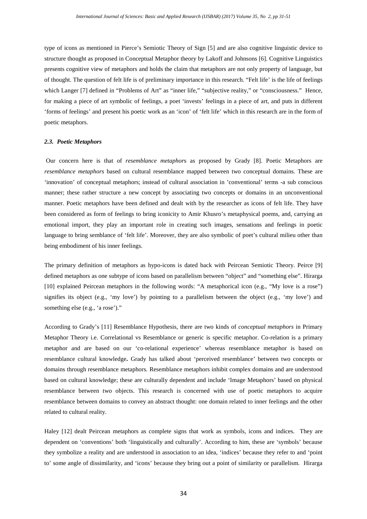type of icons as mentioned in Pierce's Semiotic Theory of Sign [5] and are also cognitive linguistic device to structure thought as proposed in Conceptual Metaphor theory by Lakoff and Johnsons [6]. Cognitive Linguistics presents cognitive view of metaphors and holds the claim that metaphors are not only property of language, but of thought. The question of felt life is of preliminary importance in this research. "Felt life' is the life of feelings which Langer [7] defined in "Problems of Art" as "inner life," "subjective reality," or "consciousness." Hence, for making a piece of art symbolic of feelings, a poet 'invests' feelings in a piece of art, and puts in different 'forms of feelings' and present his poetic work as an 'icon' of 'felt life' which in this research are in the form of poetic metaphors.

#### *2.3. Poetic Metaphors*

Our concern here is that of *resemblance metaphor*s as proposed by Grady [8]. Poetic Metaphors are *resemblance metaphors* based on cultural resemblance mapped between two conceptual domains. These are 'innovation' of conceptual metaphors; instead of cultural association in 'conventional' terms -a sub conscious manner; these rather structure a new concept by associating two concepts or domains in an unconventional manner. Poetic metaphors have been defined and dealt with by the researcher as icons of felt life. They have been considered as form of feelings to bring iconicity to Amir Khusro's metaphysical poems, and, carrying an emotional import, they play an important role in creating such images, sensations and feelings in poetic language to bring semblance of 'felt life'. Moreover, they are also symbolic of poet's cultural milieu other than being embodiment of his inner feelings.

The primary definition of metaphors as hypo-icons is dated back with Peircean Semiotic Theory. Peirce [9] defined metaphors as one subtype of icons based on parallelism between "object" and "something else". Hirarga [10] explained Peircean metaphors in the following words: "A metaphorical icon (e.g., "My love is a rose") signifies its object (e.g., 'my love') by pointing to a parallelism between the object (e.g., 'my love') and something else (e.g., 'a rose')."

According to Grady's [11] Resemblance Hypothesis, there are two kinds of *conceptual metaphors* in Primary Metaphor Theory i.e. Correlational vs Resemblance or generic is specific metaphor. Co-relation is a primary metaphor and are based on our 'co-relational experience' whereas resemblance metaphor is based on resemblance cultural knowledge**.** Grady has talked about 'perceived resemblance' between two concepts or domains through resemblance metaphors. Resemblance metaphors inhibit complex domains and are understood based on cultural knowledge; these are culturally dependent and include 'Image Metaphors' based on physical resemblance between two objects. This research is concerned with use of poetic metaphors to acquire resemblance between domains to convey an abstract thought: one domain related to inner feelings and the other related to cultural reality.

Haley [12] dealt Peircean metaphors as complete signs that work as symbols, icons and indices. They are dependent on 'conventions' both 'linguistically and culturally'. According to him, these are 'symbols' because they symbolize a reality and are understood in association to an idea, 'indices' because they refer to and 'point to' some angle of dissimilarity, and 'icons' because they bring out a point of similarity or parallelism. Hirarga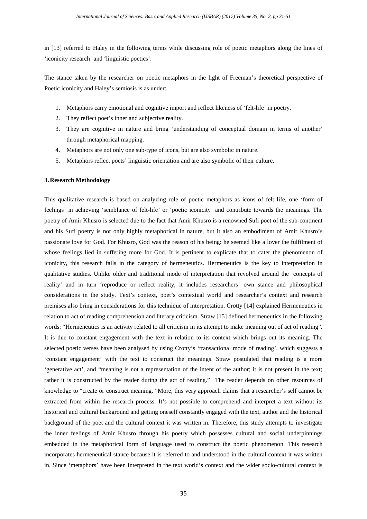in [13] referred to Haley in the following terms while discussing role of poetic metaphors along the lines of 'iconicity research' and 'linguistic poetics':

The stance taken by the researcher on poetic metaphors in the light of Freeman's theoretical perspective of Poetic iconicity and Haley's semiosis is as under:

- 1. Metaphors carry emotional and cognitive import and reflect likeness of 'felt-life' in poetry.
- 2. They reflect poet's inner and subjective reality.
- 3. They are cognitive in nature and bring 'understanding of conceptual domain in terms of another' through metaphorical mapping.
- 4. Metaphors are not only one sub-type of icons, but are also symbolic in nature.
- 5. Metaphors reflect poets' linguistic orientation and are also symbolic of their culture.

#### **3. Research Methodology**

This qualitative research is based on analyzing role of poetic metaphors as icons of felt life, one 'form of feelings' in achieving 'semblance of felt-life' or 'poetic iconicity' and contribute towards the meanings. The poetry of Amir Khusro is selected due to the fact that Amir Khusro is a renowned Sufi poet of the sub-continent and his Sufi poetry is not only highly metaphorical in nature, but it also an embodiment of Amir Khusro's passionate love for God. For Khusro, God was the reason of his being: he seemed like a lover the fulfilment of whose feelings lied in suffering more for God. It is pertinent to explicate that to cater the phenomenon of iconicity, this research falls in the category of hermeneutics. Hermeneutics is the key to interpretation in qualitative studies. Unlike older and traditional mode of interpretation that revolved around the 'concepts of reality' and in turn 'reproduce or reflect reality, it includes researchers' own stance and philosophical considerations in the study. Text's context, poet's contextual world and researcher's context and research premises also bring in considerations for this technique of interpretation. Crotty [14] explained Hermeneutics in relation to act of reading comprehension and literary criticism. Straw [15] defined hermeneutics in the following words: "Hermeneutics is an activity related to all criticism in its attempt to make meaning out of act of reading". It is due to constant engagement with the text in relation to its context which brings out its meaning. The selected poetic verses have been analysed by using Crotty's 'transactional mode of reading', which suggests a 'constant engagement' with the text to construct the meanings. Straw postulated that reading is a more 'generative act', and "meaning is not a representation of the intent of the author; it is not present in the text; rather it is constructed by the reader during the act of reading." The reader depends on other resources of knowledge to "create or construct meaning." More, this very approach claims that a researcher's self cannot be extracted from within the research process. It's not possible to comprehend and interpret a text without its historical and cultural background and getting oneself constantly engaged with the text, author and the historical background of the poet and the cultural context it was written in. Therefore, this study attempts to investigate the inner feelings of Amir Khusro through his poetry which possesses cultural and social underpinnings embedded in the metaphorical form of language used to construct the poetic phenomenon. This research incorporates hermeneutical stance because it is referred to and understood in the cultural context it was written in. Since 'metaphors' have been interpreted in the text world's context and the wider socio-cultural context is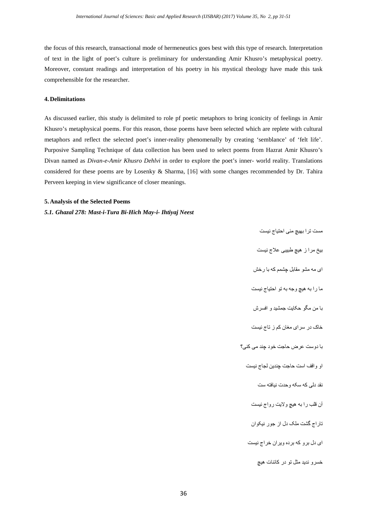the focus of this research, transactional mode of hermeneutics goes best with this type of research. Interpretation of text in the light of poet's culture is preliminary for understanding Amir Khusro's metaphysical poetry. Moreover, constant readings and interpretation of his poetry in his mystical theology have made this task comprehensible for the researcher.

# **4. Delimitations**

As discussed earlier, this study is delimited to role pf poetic metaphors to bring iconicity of feelings in Amir Khusro's metaphysical poems. For this reason, those poems have been selected which are replete with cultural metaphors and reflect the selected poet's inner-reality phenomenally by creating 'semblance' of 'felt life'. Purposive Sampling Technique of data collection has been used to select poems from Hazrat Amir Khusro's Divan named as *Divan-e-Amir Khusro Dehlvi* in order to explore the poet's inner- world reality. Translations considered for these poems are by Losenky & Sharma, [16] with some changes recommended by Dr. Tahira Perveen keeping in view significance of closer meanings.

# **5. Analysis of the Selected Poems**

*5.1. Ghazal 278: Mast-i-Tura Bi-Hich May-i- Ihtiyaj Neest*

مست ترا بھیچ مئی احتیاج نیست بیخ مرا ز ھیچ طبیبی علاج نیست ای مھ مشو مقابل چشمم کھ با رخش ما را بھ ھیچ وجھ بھ تو احتیاج نیست با من مگو حکایت جمشید و افسرش خاک در سرای مغان کم ز تاج نیست با دوست عرض حاجت خود چند می کنی؟ او واقف است حاجت چندین لجاج نیست نقد دلی کھ سکھ وحدت نیافتھ ست آن قلب را بھ ھیچ ولایت رواج نیست تاراج گشت ملک دل از جور نیکوان ای دل برو کھ برده ویران خراج نیست خسرو ندید مثل تو در کائنات ھیچ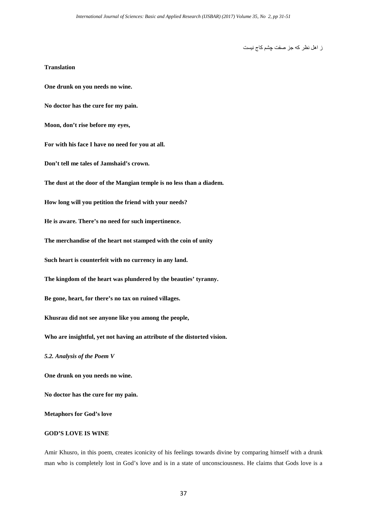ز اھل نظر کھ جز صفت چشم کاج نیست

#### **Translation**

**One drunk on you needs no wine.** 

**No doctor has the cure for my pain.**

**Moon, don't rise before my eyes,**

**For with his face I have no need for you at all.**

**Don't tell me tales of Jamshaid's crown.**

**The dust at the door of the Mangian temple is no less than a diadem.**

**How long will you petition the friend with your needs?** 

**He is aware. There's no need for such impertinence.**

**The merchandise of the heart not stamped with the coin of unity**

**Such heart is counterfeit with no currency in any land.**

**The kingdom of the heart was plundered by the beauties' tyranny.**

**Be gone, heart, for there's no tax on ruined villages.**

**Khusrau did not see anyone like you among the people,**

**Who are insightful, yet not having an attribute of the distorted vision.**

*5.2. Analysis of the Poem V*

**One drunk on you needs no wine.** 

**No doctor has the cure for my pain.**

**Metaphors for God's love**

# **GOD'S LOVE IS WINE**

Amir Khusro, in this poem, creates iconicity of his feelings towards divine by comparing himself with a drunk man who is completely lost in God's love and is in a state of unconsciousness. He claims that Gods love is a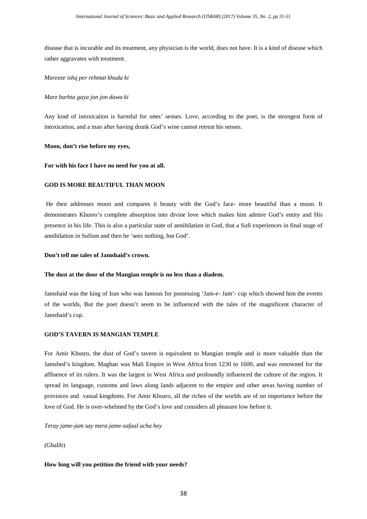disease that is incurable and its treatment, any physician is the world, does not have. It is a kind of disease which rather aggravates with treatment.

## *Mareeze ishq per rehmat khuda ki*

## *Marz barhta gaya jon jon dawa ki*

Any kind of intoxication is harmful for ones' senses. Love, according to the poet, is the strongest form of intoxication, and a man after having drunk God's wine cannot retreat his senses.

# **Moon, don't rise before my eyes,**

#### **For with his face I have no need for you at all.**

# **GOD IS MORE BEAUTIFUL THAN MOON**

He then addresses moon and compares it beauty with the God's face- more beautiful than a moon. It demonstrates Khusro's complete absorption into divine love which makes him admire God's entity and His presence in his life. This is also a particular state of annihilation in God, that a Sufi experiences in final stage of annihilation in Sufism and then he 'sees nothing, but God'.

# **Don't tell me tales of Jamshaid's crown.**

#### **The dust at the door of the Mangian temple is no less than a diadem.**

Jamshaid was the king of Iran who was famous for possessing 'Jam-e- Jam'- cup which showed him the events of the worlds, But the poet doesn't seem to be influenced with the tales of the magnificent character of Jamshaid's cup.

# **GOD'S TAVERN IS MANGIAN TEMPLE**

For Amir Khusro, the dust of God's tavern is equivalent to Mangian temple and is more valuable than the Jamshed's kingdom. Maghan was Mali Empire in [West Africa](https://en.wikipedia.org/wiki/West_Africa) from 1230 to 1600, and was renowned for the affluence of its rulers. It was the largest in West Africa and profoundly influenced the culture of the region. It spread its language, customs and laws along lands adjacent to the empire and other areas having number of provinces and [vassal](https://en.wikipedia.org/wiki/Vassal) kingdoms. For Amir Khusro, all the riches of the worlds are of no importance before the love of God. He is over-whelmed by the God's love and considers all pleasure low before it.

#### *Teray jame-jam say mera jame-safaal acha hey*

(Ghalib)

#### **How long will you petition the friend with your needs?**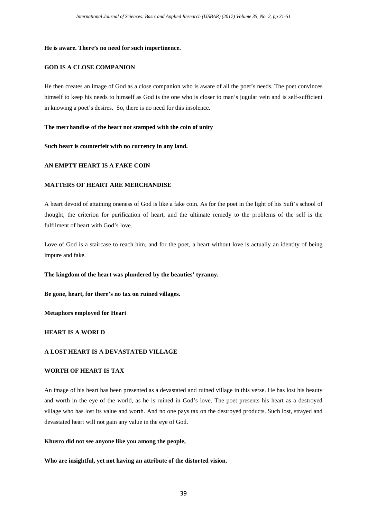#### **He is aware. There's no need for such impertinence.**

## **GOD IS A CLOSE COMPANION**

He then creates an image of God as a close companion who is aware of all the poet's needs. The poet convinces himself to keep his needs to himself as God is the one who is closer to man's jugular vein and is self-sufficient in knowing a poet's desires. So, there is no need for this insolence.

#### **The merchandise of the heart not stamped with the coin of unity**

#### **Such heart is counterfeit with no currency in any land.**

# **AN EMPTY HEART IS A FAKE COIN**

#### **MATTERS OF HEART ARE MERCHANDISE**

A heart devoid of attaining oneness of God is like a fake coin. As for the poet in the light of his Sufi's school of thought, the criterion for purification of heart, and the ultimate remedy to the problems of the self is the fulfilment of heart with God's love.

Love of God is a staircase to reach him, and for the poet, a heart without love is actually an identity of being impure and fake.

#### **The kingdom of the heart was plundered by the beauties' tyranny.**

**Be gone, heart, for there's no tax on ruined villages.**

#### **Metaphors employed for Heart**

# **HEART IS A WORLD**

# **A LOST HEART IS A DEVASTATED VILLAGE**

# **WORTH OF HEART IS TAX**

An image of his heart has been presented as a devastated and ruined village in this verse. He has lost his beauty and worth in the eye of the world, as he is ruined in God's love. The poet presents his heart as a destroyed village who has lost its value and worth. And no one pays tax on the destroyed products. Such lost, strayed and devastated heart will not gain any value in the eye of God.

# **Khusro did not see anyone like you among the people,**

#### **Who are insightful, yet not having an attribute of the distorted vision.**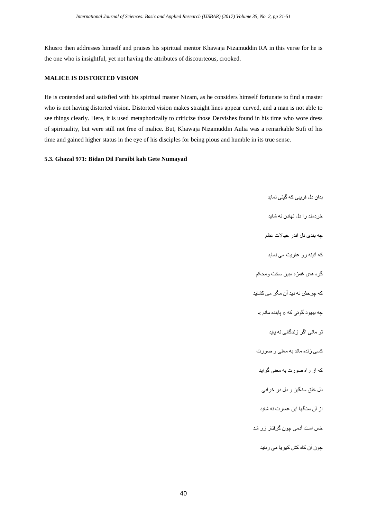Khusro then addresses himself and praises his spiritual mentor Khawaja Nizamuddin RA in this verse for he is the one who is insightful, yet not having the attributes of discourteous, crooked.

# **MALICE IS DISTORTED VISION**

He is contended and satisfied with his spiritual master Nizam, as he considers himself fortunate to find a master who is not having distorted vision. Distorted vision makes straight lines appear curved, and a man is not able to see things clearly. Here, it is used metaphorically to criticize those Dervishes found in his time who wore dress of spirituality, but were still not free of malice. But, Khawaja Nizamuddin Aulia was a remarkable Sufi of his time and gained higher status in the eye of his disciples for being pious and humble in its true sense.

# **5.3. Ghazal 971: Bidan Dil Faraibi kah Gete Numayad**

بدان دل فریبی کھ گیتی نماید خردمند را دل نھادن نھ شاید چھ بندی دل اندر خیالات عالم کھ آئینھ رو عاریت می نماید گره ھای غمزه مبین سخت ومحکم کھ چرخش نھ دید آن مگر می کشاید چھ بیھود گوئی کھ « پاینده مانم » تو مانی اگر زندگانی نھ پاید کسی زنده ماند بھ معنی و صورت کھ از راه صورت بھ معنی گراید دل خلق سنگین و دل در خرابی از آن سنگھا این عمارت نھ شاید خس است آدمی چون گرفتار زر شد چون آن کاه کش کھریا می رباید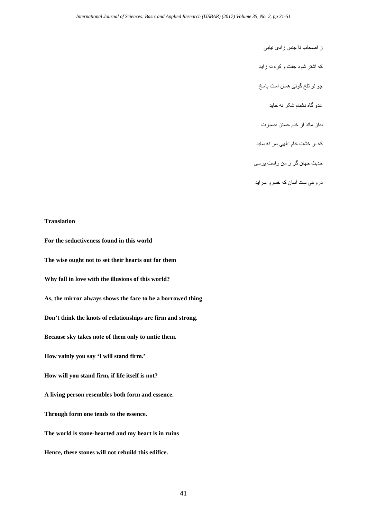ز اصحاب نا جنس زادی نیابی

کھ اشتر شود جفت و کره نھ زاید

چو تو تلخ گوئی ھمان است پاسخ

عدو گاه دشنام شکر نھ خاید

بدان ماند از خام جستن بصیرت

کھ بر خشت خام ابلھی سر نھ ساید

حدیث جھان گر ز من راست پرسی

دروغی ست آسان کھ خسرو سراید

# **Translation**

**For the seductiveness found in this world The wise ought not to set their hearts out for them Why fall in love with the illusions of this world? As, the mirror always shows the face to be a borrowed thing Don't think the knots of relationships are firm and strong. Because sky takes note of them only to untie them. How vainly you say 'I will stand firm.' How will you stand firm, if life itself is not? A living person resembles both form and essence. Through form one tends to the essence. The world is stone-hearted and my heart is in ruins Hence, these stones will not rebuild this edifice.**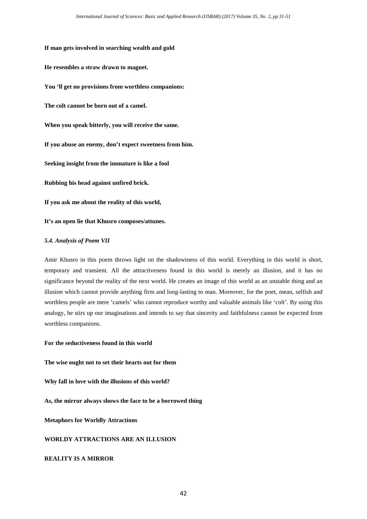**If man gets involved in searching wealth and gold**

**He resembles a straw drawn to magnet.** 

**You 'll get no provisions from worthless companions:**

**The colt cannot be born out of a camel.**

**When you speak bitterly, you will receive the same.**

**If you abuse an enemy, don't expect sweetness from him.**

**Seeking insight from the immature is like a fool**

**Rubbing his head against unfired brick.**

**If you ask me about the reality of this world,**

**It's an open lie that Khusro composes/attunes.**

# *5.4. Analysis of Poem VII*

Amir Khusro in this poem throws light on the shadowiness of this world. Everything in this world is short, temporary and transient. All the attractiveness found in this world is merely an illusion, and it has no significance beyond the reality of the next world. He creates an image of this world as an unstable thing and an illusion which cannot provide anything firm and long-lasting to man. Moreover, for the poet, mean, selfish and worthless people are mere 'camels' who cannot reproduce worthy and valuable animals like 'colt'. By using this analogy, he stirs up our imaginations and intends to say that sincerity and faithfulness cannot be expected from worthless companions.

**For the seductiveness found in this world**

**The wise ought not to set their hearts out for them** 

**Why fall in love with the illusions of this world?**

**As, the mirror always shows the face to be a borrowed thing**

**Metaphors for Worldly Attractions**

**WORLDY ATTRACTIONS ARE AN ILLUSION**

# **REALITY IS A MIRROR**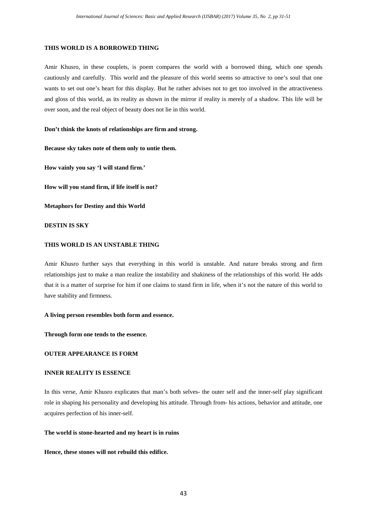# **THIS WORLD IS A BORROWED THING**

Amir Khusro, in these couplets, is poem compares the world with a borrowed thing, which one spends cautiously and carefully. This world and the pleasure of this world seems so attractive to one's soul that one wants to set out one's heart for this display. But he rather advises not to get too involved in the attractiveness and gloss of this world, as its reality as shown in the mirror if reality is merely of a shadow. This life will be over soon, and the real object of beauty does not lie in this world.

#### **Don't think the knots of relationships are firm and strong.**

**Because sky takes note of them only to untie them.**

**How vainly you say 'I will stand firm.'**

**How will you stand firm, if life itself is not?**

**Metaphors for Destiny and this World**

#### **DESTIN IS SKY**

#### **THIS WORLD IS AN UNSTABLE THING**

Amir Khusro further says that everything in this world is unstable. And nature breaks strong and firm relationships just to make a man realize the instability and shakiness of the relationships of this world. He adds that it is a matter of surprise for him if one claims to stand firm in life, when it's not the nature of this world to have stability and firmness.

# **A living person resembles both form and essence.**

**Through form one tends to the essence.**

# **OUTER APPEARANCE IS FORM**

# **INNER REALITY IS ESSENCE**

In this verse, Amir Khusro explicates that man's both selves- the outer self and the inner-self play significant role in shaping his personality and developing his attitude. Through from- his actions, behavior and attitude, one acquires perfection of his inner-self.

#### **The world is stone-hearted and my heart is in ruins**

#### **Hence, these stones will not rebuild this edifice.**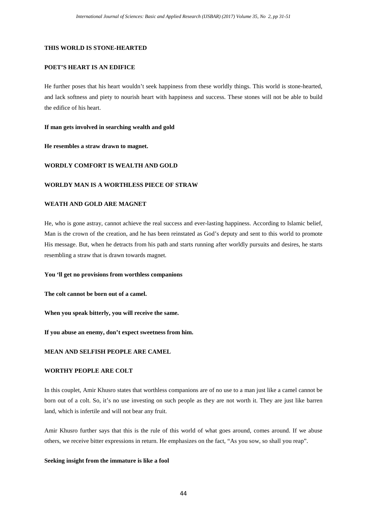# **THIS WORLD IS STONE-HEARTED**

# **POET'S HEART IS AN EDIFICE**

He further poses that his heart wouldn't seek happiness from these worldly things. This world is stone-hearted, and lack softness and piety to nourish heart with happiness and success. These stones will not be able to build the edifice of his heart.

# **If man gets involved in searching wealth and gold**

**He resembles a straw drawn to magnet.** 

# **WORDLY COMFORT IS WEALTH AND GOLD**

# **WORLDY MAN IS A WORTHLESS PIECE OF STRAW**

#### **WEATH AND GOLD ARE MAGNET**

He, who is gone astray, cannot achieve the real success and ever-lasting happiness. According to Islamic belief, Man is the crown of the creation, and he has been reinstated as God's deputy and sent to this world to promote His message. But, when he detracts from his path and starts running after worldly pursuits and desires, he starts resembling a straw that is drawn towards magnet.

#### **You 'll get no provisions from worthless companions**

**The colt cannot be born out of a camel.**

**When you speak bitterly, you will receive the same.**

**If you abuse an enemy, don't expect sweetness from him.**

# **MEAN AND SELFISH PEOPLE ARE CAMEL**

# **WORTHY PEOPLE ARE COLT**

In this couplet, Amir Khusro states that worthless companions are of no use to a man just like a camel cannot be born out of a colt. So, it's no use investing on such people as they are not worth it. They are just like barren land, which is infertile and will not bear any fruit.

Amir Khusro further says that this is the rule of this world of what goes around, comes around. If we abuse others, we receive bitter expressions in return. He emphasizes on the fact, "As you sow, so shall you reap".

#### **Seeking insight from the immature is like a fool**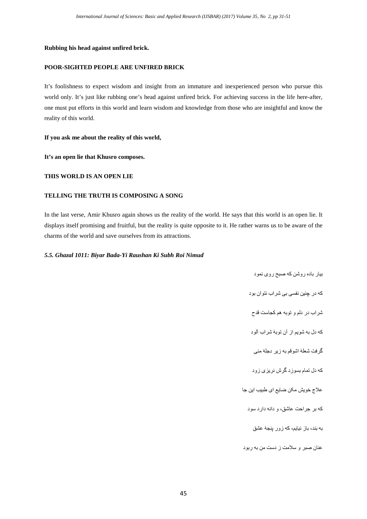# **Rubbing his head against unfired brick.**

# **POOR-SIGHTED PEOPLE ARE UNFIRED BRICK**

It's foolishness to expect wisdom and insight from an immature and inexperienced person who pursue this world only. It's just like rubbing one's head against unfired brick. For achieving success in the life here-after, one must put efforts in this world and learn wisdom and knowledge from those who are insightful and know the reality of this world.

**If you ask me about the reality of this world,**

**It's an open lie that Khusro composes.**

# **THIS WORLD IS AN OPEN LIE**

# **TELLING THE TRUTH IS COMPOSING A SONG**

In the last verse, Amir Khusro again shows us the reality of the world. He says that this world is an open lie. It displays itself promising and fruitful, but the reality is quite opposite to it. He rather warns us to be aware of the charms of the world and save ourselves from its attractions.

#### *5.5. Ghazal 1011: Biyar Bada-Yi Raushan Ki Subh Roi Nimud*

بیار باده روشن کھ صبح روی نمود کھ در چنین نفسی بی شراب نتوان بود شراب در دلم و توبھ ھم کجاست قدح کھ دل بھ شویم از آن توبۀ شراب آلود گرفت شعلۀ اشوقم بھ زیر دجلۀ مئی کھ دل تمام بسوزد گرش نریزی زود علاج خویش مکن ضایع ای طبیب این جا کھ بر جراحت عاشق، و دانھ دارد سود بھ بند، باز نیایم، کھ زور پنجۀ عشق عنان صبر و سلامت ز دست من بھ ربود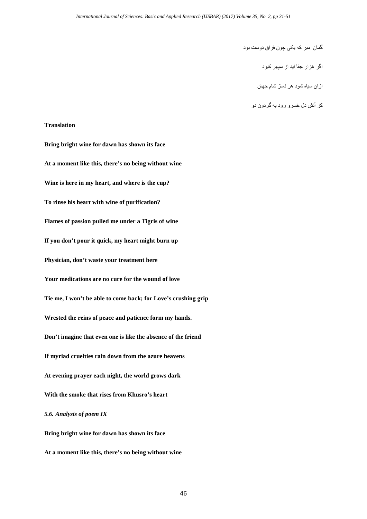گمان مبر کھ یکی چون فراق دوست بود

اگر ھزار جفا آید از سپھر کبود

ازان سیاه شود ھر نماز شام جھان

کز آتش دل خسرو رود بھ گردون دو

# **Translation**

**Bring bright wine for dawn has shown its face At a moment like this, there's no being without wine Wine is here in my heart, and where is the cup? To rinse his heart with wine of purification? Flames of passion pulled me under a Tigris of wine If you don't pour it quick, my heart might burn up Physician, don't waste your treatment here Your medications are no cure for the wound of love Tie me, I won't be able to come back; for Love's crushing grip Wrested the reins of peace and patience form my hands. Don't imagine that even one is like the absence of the friend If myriad cruelties rain down from the azure heavens At evening prayer each night, the world grows dark With the smoke that rises from Khusro's heart** *5.6. Analysis of poem IX* **Bring bright wine for dawn has shown its face**

**At a moment like this, there's no being without wine**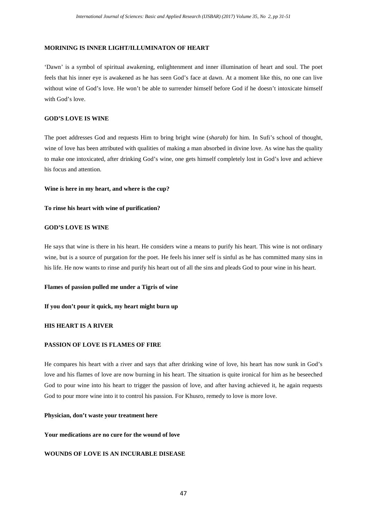# **MORINING IS INNER LIGHT/ILLUMINATON OF HEART**

'Dawn' is a symbol of spiritual awakening, enlightenment and inner illumination of heart and soul. The poet feels that his inner eye is awakened as he has seen God's face at dawn. At a moment like this, no one can live without wine of God's love. He won't be able to surrender himself before God if he doesn't intoxicate himself with God's love.

# **GOD'S LOVE IS WINE**

The poet addresses God and requests Him to bring bright wine (*sharab)* for him. In Sufi's school of thought, wine of love has been attributed with qualities of making a man absorbed in divine love. As wine has the quality to make one intoxicated, after drinking God's wine, one gets himself completely lost in God's love and achieve his focus and attention.

#### **Wine is here in my heart, and where is the cup?**

## **To rinse his heart with wine of purification?**

# **GOD'S LOVE IS WINE**

He says that wine is there in his heart. He considers wine a means to purify his heart. This wine is not ordinary wine, but is a source of purgation for the poet. He feels his inner self is sinful as he has committed many sins in his life. He now wants to rinse and purify his heart out of all the sins and pleads God to pour wine in his heart.

# **Flames of passion pulled me under a Tigris of wine**

# **If you don't pour it quick, my heart might burn up**

#### **HIS HEART IS A RIVER**

# **PASSION OF LOVE IS FLAMES OF FIRE**

He compares his heart with a river and says that after drinking wine of love, his heart has now sunk in God's love and his flames of love are now burning in his heart. The situation is quite ironical for him as he beseeched God to pour wine into his heart to trigger the passion of love, and after having achieved it, he again requests God to pour more wine into it to control his passion. For Khusro, remedy to love is more love.

#### **Physician, don't waste your treatment here**

## **Your medications are no cure for the wound of love**

# **WOUNDS OF LOVE IS AN INCURABLE DISEASE**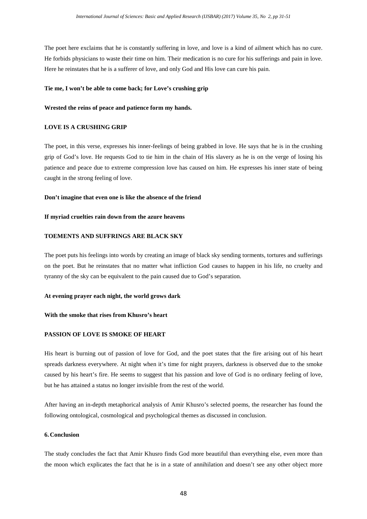The poet here exclaims that he is constantly suffering in love, and love is a kind of ailment which has no cure. He forbids physicians to waste their time on him. Their medication is no cure for his sufferings and pain in love. Here he reinstates that he is a sufferer of love, and only God and His love can cure his pain.

# **Tie me, I won't be able to come back; for Love's crushing grip**

# **Wrested the reins of peace and patience form my hands.**

# **LOVE IS A CRUSHING GRIP**

The poet, in this verse, expresses his inner-feelings of being grabbed in love. He says that he is in the crushing grip of God's love. He requests God to tie him in the chain of His slavery as he is on the verge of losing his patience and peace due to extreme compression love has caused on him. He expresses his inner state of being caught in the strong feeling of love.

# **Don't imagine that even one is like the absence of the friend**

#### **If myriad cruelties rain down from the azure heavens**

# **TOEMENTS AND SUFFRINGS ARE BLACK SKY**

The poet puts his feelings into words by creating an image of black sky sending torments, tortures and sufferings on the poet. But he reinstates that no matter what infliction God causes to happen in his life, no cruelty and tyranny of the sky can be equivalent to the pain caused due to God's separation.

#### **At evening prayer each night, the world grows dark**

#### **With the smoke that rises from Khusro's heart**

# **PASSION OF LOVE IS SMOKE OF HEART**

His heart is burning out of passion of love for God, and the poet states that the fire arising out of his heart spreads darkness everywhere. At night when it's time for night prayers, darkness is observed due to the smoke caused by his heart's fire. He seems to suggest that his passion and love of God is no ordinary feeling of love, but he has attained a status no longer invisible from the rest of the world.

After having an in-depth metaphorical analysis of Amir Khusro's selected poems, the researcher has found the following ontological, cosmological and psychological themes as discussed in conclusion.

# **6. Conclusion**

The study concludes the fact that Amir Khusro finds God more beautiful than everything else, even more than the moon which explicates the fact that he is in a state of annihilation and doesn't see any other object more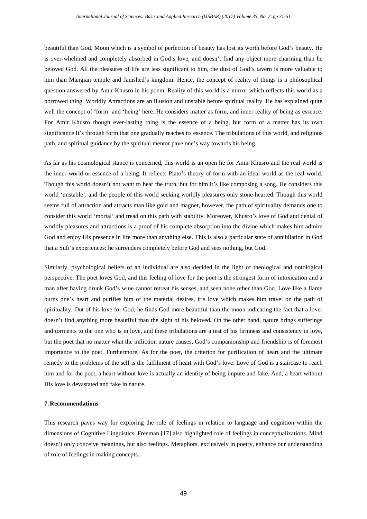beautiful than God. Moon which is a symbol of perfection of beauty has lost its worth before God's beauty. He is over-whelmed and completely absorbed in God's love, and doesn't find any object more charming than he beloved God. All the pleasures of life are less significant to him, the dust of God's tavern is more valuable to him than Mangian temple and Jamshed's kingdom. Hence, the concept of reality of things is a philosophical question answered by Amir Khusro in his poem. Reality of this world is a mirror which reflects this world as a borrowed thing. Worldly Attractions are an illusion and unstable before spiritual reality. He has explained quite well the concept of 'form' and 'being' here. He considers matter as form, and inner reality of being as essence. For Amir Khusro though ever-lasting thing is the essence of a being, but form of a matter has its own significance It's through form that one gradually reaches its essence. The tribulations of this world, and religious path, and spiritual guidance by the spiritual mentor pave one's way towards his being.

As far as his cosmological stance is concerned, this world is an open lie for Amir Khusro and the real world is the inner world or essence of a being. It reflects Plato's theory of form with an ideal world as the real world. Though this world doesn't not want to hear the truth, but for him it's like composing a song. He considers this world 'unstable', and the people of this world seeking worldly pleasures only stone-hearted. Though this world seems full of attraction and attracts man like gold and magnet, however, the path of spirituality demands one to consider this world 'mortal' and tread on this path with stability. Moreover, Khusro's love of God and denial of worldly pleasures and attractions is a proof of his complete absorption into the divine which makes him admire God and enjoy His presence in life more than anything else. This is also a particular state of annihilation in God that a Sufi's experiences: he surrenders completely before God and sees nothing, but God.

Similarly, psychological beliefs of an individual are also decided in the light of theological and ontological perspective. The poet loves God, and this feeling of love for the poet is the strongest form of intoxication and a man after having drunk God's wine cannot retreat his senses, and seen none other than God. Love like a flame burns one's heart and purifies him of the material desires, it's love which makes him travel on the path of spirituality. Out of his love for God, he finds God more beautiful than the moon indicating the fact that a lover doesn't find anything more beautiful than the sight of his beloved**.** On the other hand, nature brings sufferings and torments to the one who is in love, and these tribulations are a test of his firmness and consistency in love, but the poet that no matter what the infliction nature causes, God's companionship and friendship is of foremost importance to the poet. Furthermore, As for the poet, the criterion for purification of heart and the ultimate remedy to the problems of the self is the fulfilment of heart with God's love. Love of God is a staircase to reach him and for the poet, a heart without love is actually an identity of being impure and fake. And, a heart without His love is devastated and fake in nature.

# **7. Recommendations**

This research paves way for exploring the role of feelings in relation to language and cognition within the dimensions of Cognitive Linguistics. Freeman [17] also highlighted role of feelings in conceptualizations. Mind doesn't only conceive meanings, but also feelings. Metaphors, exclusively in poetry, enhance our understanding of role of feelings in making concepts.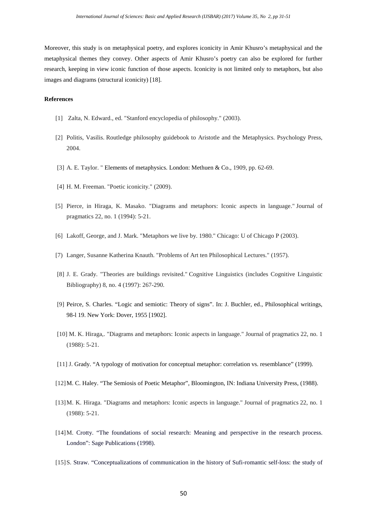Moreover, this study is on metaphysical poetry, and explores iconicity in Amir Khusro's metaphysical and the metaphysical themes they convey. Other aspects of Amir Khusro's poetry can also be explored for further research, keeping in view iconic function of those aspects. Iconicity is not limited only to metaphors, but also images and diagrams (structural iconicity) [18].

# **References**

- [1] Zalta, N. Edward., ed. "Stanford encyclopedia of philosophy." (2003).
- [2] Politis, Vasilis. Routledge philosophy guidebook to Aristotle and the Metaphysics. Psychology Press, 2004.
- [3] A. E. Taylor. " Elements of metaphysics. London: Methuen & Co., 1909, pp. 62-69.
- [4] H. M. Freeman. "Poetic iconicity." (2009).
- [5] Pierce, in Hiraga, K. Masako. "Diagrams and metaphors: Iconic aspects in language." Journal of pragmatics 22, no. 1 (1994): 5-21.
- [6] Lakoff, George, and J. Mark. "Metaphors we live by. 1980." Chicago: U of Chicago P (2003).
- [7) Langer, Susanne Katherina Knauth. "Problems of Art ten Philosophical Lectures." (1957).
- [8] J. E. Grady. "Theories are buildings revisited." Cognitive Linguistics (includes Cognitive Linguistic Bibliography) 8, no. 4 (1997): 267-290.
- [9] Peirce, S. Charles. "Logic and semiotic: Theory of signs". In: J. Buchler, ed., Philosophical writings, 98-l 19. New York: Dover, 1955 [1902].
- [10] M. K. Hiraga,. "Diagrams and metaphors: Iconic aspects in language." Journal of pragmatics 22, no. 1 (1988): 5-21.
- [11] J. Grady. "A typology of motivation for conceptual metaphor: correlation vs. resemblance" (1999).
- [12]M. C. Haley. "The Semiosis of Poetic Metaphor", Bloomington, IN: Indiana University Press, (1988).
- [13]M. K. Hiraga. "Diagrams and metaphors: Iconic aspects in language." Journal of pragmatics 22, no. 1 (1988): 5-21.
- [14]M. Crotty. "The foundations of social research: Meaning and perspective in the research process. London": Sage Publications (1998).
- [15]S. Straw. "Conceptualizations of communication in the history of Sufi-romantic self-loss: the study of